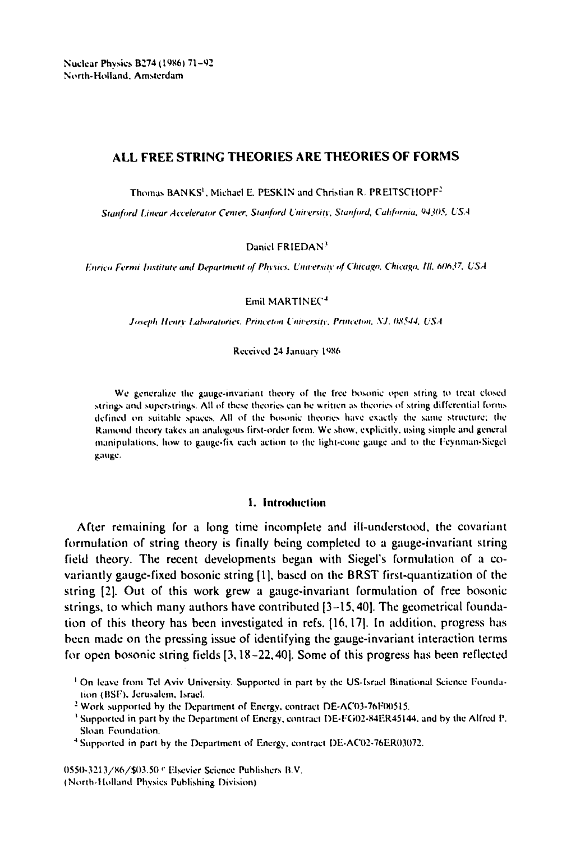Nuclear Physics B274 (1986) 71-92 North-Holland. Amsterdam

# **ALL FREE STRING THEORIES ARE THEORIES OF FORMS**

Thomas BANKS<sup>1</sup>, Michael E. PESKIN and Christian R. PREITSCHOPF<sup>2</sup>

Stanford Linear Accelerator Center, Stanford University, Stanford, California, 94305, USA

Daniel FRIEDAN<sup>3</sup>

*Enrico Fermi Institute and Department of Physics. University of Chicago. Chicago. Ill. 6(1637. USA* 

Emil MARTINEC 4

Joseph Henry Laboratories. Princeton University, Princeton, NJ. 08544, USA

Received 24 January 1986

We generalize the gauge-invariant theory of the free bosonic open string to treat dosed strings and superstrings. All of these theories can be written as theories of string differential forms defined on suitable spaces. All of the bosonic Iheories have exactly the same structure: the Ramond theory takes an analogous first-order form. We show, explicitly, using simple and general manipulations, how to gauge-fix each action to the light-cone gauge and to the Feynman-Siegel gauge.

# 1. Introduction

After remaining for a long time incomplete and ill-understood, the covariant formulation of string theory is finally being completed to a gauge-invariant string field theory. The recent developments began with Siegel's formulation of a covariantly gauge-fixed bosonic string [1 ], based on the BRST first-quantization of the string [2]. Out of this work grew a gauge-invariant formulation of free bosonic strings, to which many authors have contributed [3-15, 40]. The geometrical foundation of this theory has been investigated in refs. [16, 17]. In addition, progress has been made on the pressing issue of identifying the gauge-invariant interaction terms for open bosonic string fields [3, 18-22,40]. Some of this progress has been reflected

0550-3213/X6/\$03.50 e Elsevier Science Publishers B.V. (North.I Iolland Physics Publishing Division)

i On leave from Tel Aviv University. Supported in part by the US-Israel Binational Science Foundalion (BSF), Jerusalem, Israel.

<sup>&</sup>lt;sup>2</sup> Work supported by the Department of Energy, contract DE-AC03-76F00515.

<sup>&</sup>lt;sup>3</sup> Supported in part by the Department of Energy, contract DE-FG02-84ER45144, and by the Alfred P. Sloan Foundation.

<sup>&</sup>quot;~ Supported in part hy the Department of Energy. contract DE-ACO2-76ER03072,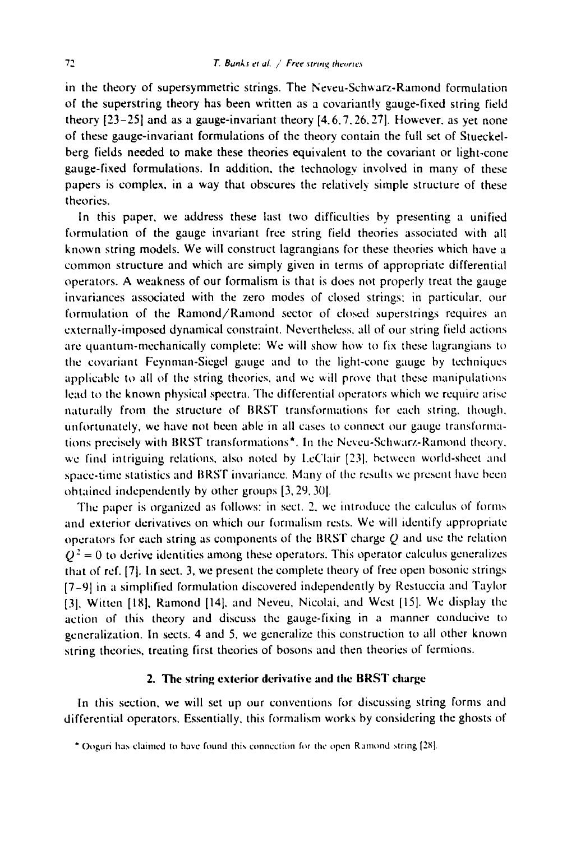in the theory of supersymmetric strings. The Neveu-Schwarz-Ramond formulation of the superstring theory has been written as a covariantly gauge-fixed string field theory [23-25] and as a gauge-invariant theory [4.6.7.26.27]. However. as yet none of these gauge-invariant formulations of the theory contain the full set of Stueckelberg fields needed to make these theories equivalent to the covariant or light-cone gauge-fixed formulations. In addition, the technology involved in many of these papers is complex, in a way that obscures the relatively simple structure of these theories.

In this paper, we address these last two difficulties by presenting a unified formulation of the gauge invariant free string field theories associated with all known string models. We will construct lagrangians for these theories which have a common structure and which are simply given in terms of appropriate differential operators. A weakness of our formalism is that is does not properly treat the gauge invariances associated with the zero modes of closed strings: in particular, our formulation of the Ramond/Ramond sector of closed superstrings requires an externally-imposed dynamical constraint. Nevertheless, all of our string field actions are quantum-mechanically complete: We will show how to fix these lagrangians to the covariant Feynman-Siegel gauge and to the light-cone gauge by techniques applicable to all of the string theories, and we will prove that these manipulations lead to the known physical spectra. The differential operators which we require arise naturally from the structure of BRST transformations for each string, though, unfortunately, we have not been able in all cases to connect our gauge transformations precisely with BRST transformations<sup>\*</sup>. In the Neveu-Schwarz-Ramond theory, wc find intriguing relations, also noted by l.cClair [231. between world-sheet and space-time statistics and BRST invariance. Many of the results we present have been obtained independently by other groups [3, 29. 301.

The paper is organized as follows: in sect. 2. we introduce the calculus of forms and exterior derivatives on which our formalism rests. We will identify appropriate operators for each string as components of the BRST charge  $Q$  and use the relation  $Q<sup>2</sup> = 0$  to derive identities among these operators. This operator calculus generalizes that of ref. [7]. In sect. 3, we present the complete theory of free open bosonic strings [7-91 in a simplified formulation discovered independently by Restuccia and Taylor [3], Witten [18], Ramond [14], and Neveu, Nicolai, and West [15]. We display the action of this theory and discuss the gauge-fixing in a manner conducive to generalization. In sects. 4 and 5, we generalize this construction to all other known string theories, treating first theories of bosons and then theories of fermions.

## 2. The string exterior derivative and the BRST charge

In this section, we will set up our conventions for discussing string forms and differential operators. Essentially, this formalism works by considering the ghosts of

<sup>° ()</sup>oguri ha.', claimed to have found thi~ connection for the open Ramond ~tring [2,%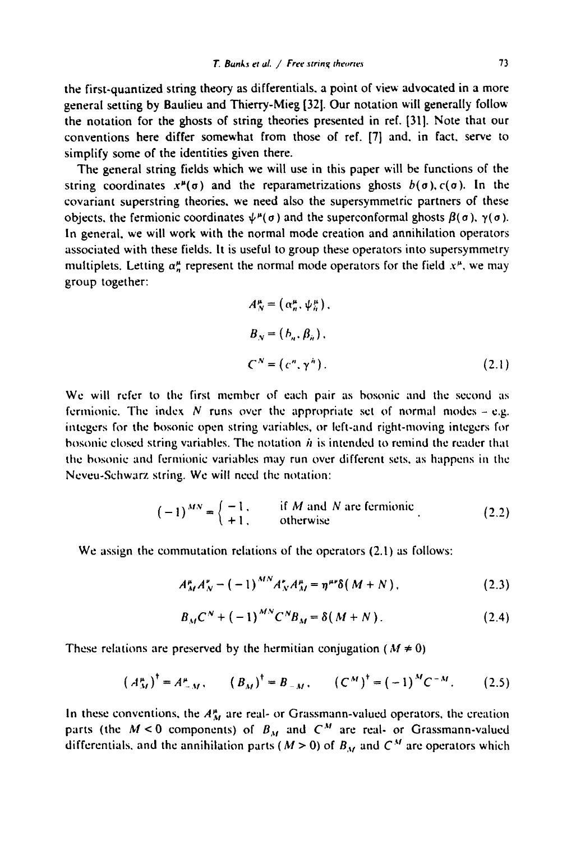the first-quantized string theory as differentials, a point of view advocated in a more general setting by Baulieu and Thierry-Mieg [32]. Our notation will generally follow the notation for the ghosts of string theories presented in ref. [31]. Note that our conventions here differ somewhat from those of ref. [7] and, in fact, serve to simplify some of the identities given there.

The general string fields which we will use in this paper will be functions of the string coordinates  $x^{\mu}(\sigma)$  and the reparametrizations ghosts  $b(\sigma)$ ,  $c(\sigma)$ . In the covariant superstring theories, we need also the supersymmetric partners of these objects, the fermionic coordinates  $\psi^{\mu}(\sigma)$  and the superconformal ghosts  $\beta(\sigma)$ ,  $\gamma(\sigma)$ . In general, we will work with the normal mode creation and annihilation operators associated with these fields. It is useful to group these operators into supersymmetry multiplets. Letting  $\alpha_n^{\mu}$  represent the normal mode operators for the field  $x^{\mu}$ , we may group together:

$$
A_N^{\mu} = (\alpha_n^{\mu}, \psi_n^{\mu}),
$$
  
\n
$$
B_N = (b_n, \beta_n),
$$
  
\n
$$
C^N = (c^n, \gamma^n).
$$
\n(2.1)

We will refer to the first member of each pair as bosonic and the second as fermionic. The index N runs over the appropriate set of normal modes  $-\mathrm{e.g.}$ integers for the bosonie open string variables, or left-and right-moving integers for bosonic closed string variables. The notation  $\hat{n}$  is intended to remind the reader that the bosonic and fermionic variables may run over different sets, as happens in the Neveu-Schwarz string. We will need the notation:

$$
(-1)^{MN} = \begin{cases} -1, & \text{if } M \text{ and } N \text{ are fermionic} \\ +1, & \text{otherwise} \end{cases}
$$
 (2.2)

We assign the commutation relations of the operators (2.1) as follows:

$$
A_{M}^{\mu}A_{N}^{\nu} - (-1)^{MN}A_{N}^{\nu}A_{M}^{\mu} = \eta^{\mu\nu}\delta(M+N), \qquad (2.3)
$$

$$
B_{M}C^{N} + (-1)^{MN}C^{N}B_{M} = \delta(M+N).
$$
 (2.4)

These relations are preserved by the hermitian conjugation ( $M \neq 0$ )

$$
\left(A_{M}^{\mu}\right)^{\dagger} = A_{-M}^{\mu}, \qquad \left(B_{M}\right)^{\dagger} = B_{-M}, \qquad \left(C^{M}\right)^{\dagger} = \left(-1\right)^{M} C^{-M}. \tag{2.5}
$$

In these conventions, the  $A_M^{\mu}$  are real- or Grassmann-valued operators, the creation parts (the  $M < 0$  components) of  $B_M$  and  $C^M$  are real- or Grassmann-valued differentials, and the annihilation parts ( $M > 0$ ) of  $B_M$  and  $C^M$  are operators which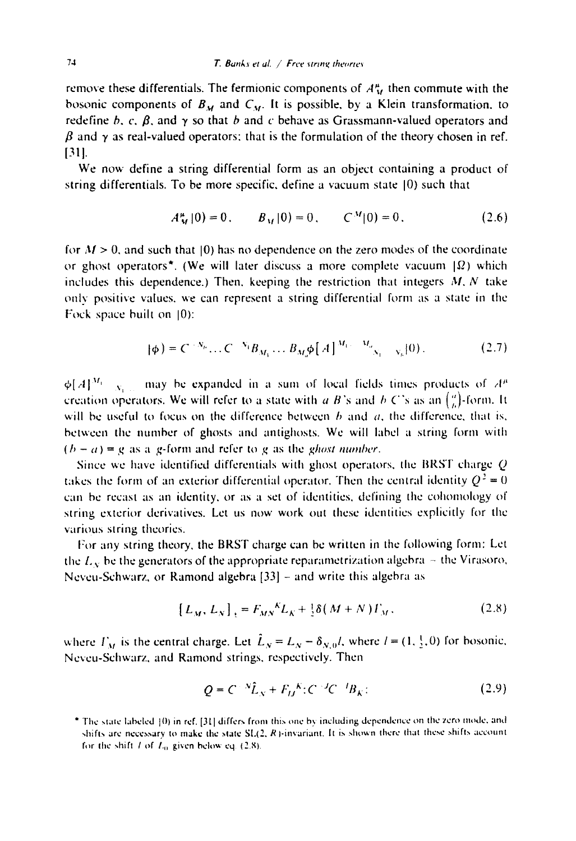remove these differentials. The fermionic components of  $A_{\mathcal{U}}^{\mu}$  then commute with the bosonic components of  $B_M$  and  $C_M$ . It is possible, by a Klein transformation, to redefine b. c.  $\beta$ , and  $\gamma$  so that b and c behave as Grassmann-valued operators and  $\beta$  and  $\gamma$  as real-valued operators; that is the formulation of the theory chosen in ref. **[311.** 

We now define a string differential form as an object containing a product of string differentials. To be more specific, define a vacuum state (0) such that

$$
A_{\mathcal{M}}^{\mu}|0\rangle = 0, \qquad B_{\mathcal{M}}|0\rangle = 0, \qquad C^{\mathcal{M}}|0\rangle = 0. \tag{2.6}
$$

for  $M > 0$ , and such that  $(0)$  has no dependence on the zero modes of the coordinate or ghost operators<sup>\*</sup>. (We will later discuss a more complete vacuum  $|Omega)$  which includes this dependence.) Then, keeping the restriction that integers  $M, N$  take only positive values, we can represent a string differential form as a state in the Fock space built on 10):

$$
|\phi) = C^{-N_h} \dots C^{-N_1} B_{M_1} \dots B_{M_r} \phi[A]^{M_1 \dots M_r} \bigg|_{N_1 \dots N_n} (0) \,.
$$
 (2.7)

 $\phi[A]^{M_1}$   $N_1$  may be expanded in a sum of local fields times products of  $A^{\mu}$ creation operators. We will refer to a state with a B's and b C's as an  $\binom{n}{k}$ -form. It will be useful to focus on the difference between  $b$  and  $a$ , the difference, that is. between the number of ghosts and antighosts. We will label a string form with  $(b - a) = g$  as a g-form and refer to g as the *ghost number*.

Since we have identified differentials with ghost operators, the BRST charge Q takes the form of an exterior differential operator. Then the central identity  $Q^2 = 0$ can be recast as an identity, or as a set of identities, defining the cohomology of string exterior derivatives. Let us now work out these identities explicitly for the various string theories.

For any string theory, the BRST charge can be written in the following form: Let the  $L<sub>x</sub>$  be the generators of the appropriate reparametrization algebra  $\sim$  the Virasoro. Neveu-Schwarz, or Ramond algebra [33] - and write this algebra as

$$
[L_M, L_N]_{\pm} = F_{MN}{}^K L_K + \frac{1}{2} \delta(M + N) \Gamma_M, \qquad (2.8)
$$

where  $\Gamma_M$  is the central charge. Let  $\hat{L}_N = L_N - \delta_{N,0}l$ , where  $l = (1, \frac{1}{2}, 0)$  for bosonic. Nevcu-Schwarz, and Ramond strings, respectively. Then

$$
Q = C^{-N} \hat{L}_N + F^{-K}_{IJ} : C^{-J} C^{-I} B_K:
$$
\n(2.9)

<sup>&</sup>lt;sup>\*</sup> The state labeled [0) in ref. [31] differs from this one by including dependence on the zero mode, and shifts are necessary to make the state  $SL(2, R)$ -invariant. It is shown there that these shifts account for the shift *l* of  $L_0$  given below eq. (2.8).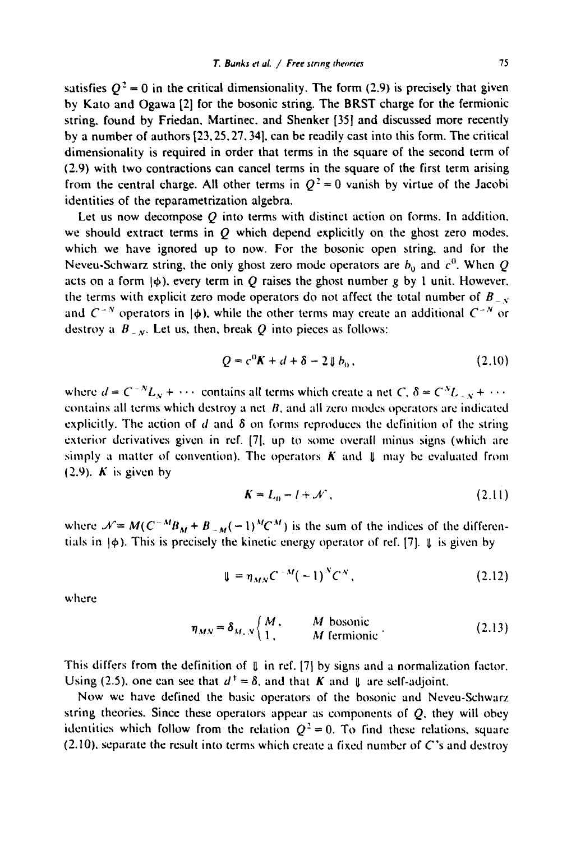satisfies  $Q^2 = 0$  in the critical dimensionality. The form (2.9) is precisely that given by Kato and Ogawa [21 for the bosonic string. The BRST charge for the fermionic string, found by Friedan. Martinec. and Shenker [35] and discussed more recently by a number of authors [23.25.27.34]. can be readily cast into this form. The critical dimensionality is required in order that terms in the square of the second term of (2.9) with two contractions can cancel terms in the square of the first term arising from the central charge. All other terms in  $Q^2 = 0$  vanish by virtue of the Jacobi identities of the reparametrization algebra.

Let us now decompose  $Q$  into terms with distinct action on forms. In addition, we should extract terms in  $O$  which depend explicitly on the ghost zero modes. which we have ignored up to now. For the bosonic open string, and for the Neveu-Schwarz string, the only ghost zero mode operators are  $b_0$  and  $c^0$ . When Q acts on a form  $\phi$ ), every term in Q raises the ghost number g by 1 unit. However, the terms with explicit zero mode operators do not affect the total number of  $B_{\perp y}$ and  $C^{-N}$  operators in  $|\phi\rangle$ , while the other terms may create an additional  $C^{-N}$  or destroy a  $B_{-N}$ . Let us, then, break Q into pieces as follows:

$$
Q = c^0 K + d + \delta - 2 \mathop{\Downarrow} b_0. \tag{2.10}
$$

where  $d = C^{-N}L_N + \cdots$  contains all terms which create a net  $C, \delta = C^N L_{-N} + \cdots$ contains all terms which destroy a net  $B$ , and all zero modes operators are indicated explicitly. The action of  $d$  and  $\delta$  on forms reproduces the definition of the string exterior derivatives given in ref. [71, up to some overall minus signs (which are simply a matter of convention). The operators  $K$  and  $\parallel$  may be evaluated from  $(2.9)$ . K is given by

$$
K = L_0 - l + \mathcal{N} \tag{2.11}
$$

where  $\mathcal{N} = M(C^{-M}B_M + B_{-M}(-1)^M C^M)$  is the sum of the indices of the differentials in  $\phi$ ). This is precisely the kinetic energy operator of ref. [7]. It is given by

$$
\mathbf{U} = \eta_{MN} C^{-M} (-1)^N C^N, \qquad (2.12)
$$

where

$$
\eta_{MN} = \delta_{M,N} \begin{cases} M, & M \text{ bosonic} \\ 1, & M \text{ fermionic} \end{cases}
$$
 (2.13)

This differs from the definition of  $\parallel$  in ref. [7] by signs and a normalization factor. Using (2.5), one can see that  $d^{\dagger} = \delta$ , and that K and U are self-adjoint.

Now we have defined the basic operators of the bosonic and Neveu-Schwarz string theories. Since these operators appear as components of  $Q$ , they will obey identities which follow from the relation  $Q^2 = 0$ . To find these relations, square  $(2.10)$ , separate the result into terms which create a fixed number of C's and destroy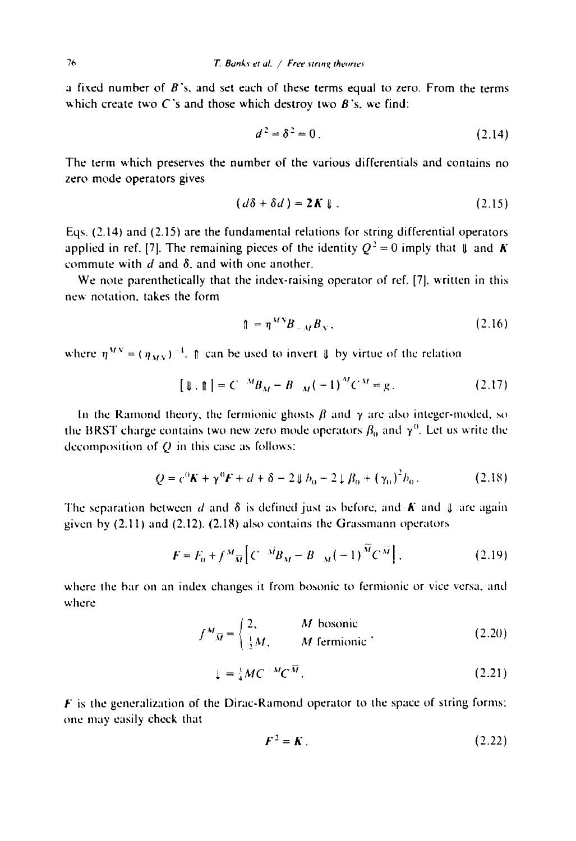**a** fixed number of **B's. and** set each of these terms equal to zero. From the terms which create two **C's and** those which destroy two **B's.** we find:

$$
d^2 = \delta^2 = 0.
$$
 (2.14)

The term which preserves the number of the various differentials and contains no zero mode operators gives

$$
(d\delta + \delta d) = 2K \downarrow . \tag{2.15}
$$

Eqs. (2.14) and (2.15) are the fundamental relations for string differential operators applied in ref. [7]. The remaining pieces of the identity  $Q^2 = 0$  imply that  $\parallel$  and K commute with  $d$  and  $\delta$ , and with one another.

We note parenthetically that the index-raising operator of ref. [7]. written in this new notation, takes the form

$$
\mathbf{A} = \eta^{MN} B_{\perp M} B_N \,.
$$

where  $\eta^{MN} = (\eta_{MN})^{-1}$ .  $\uparrow$  can be used to invert  $\downarrow$  by virtue of the relation

$$
[\![\, \mathbf{I} \cdot \mathbf{R}\!] = C^{-M} B_M - B_{-M} (-1)^M C^M = g \,. \tag{2.17}
$$

In the Ramond theory, the fermionic ghosts  $\beta$  and  $\gamma$  are also integer-moded, so the BRST charge contains two new zero mode operators  $\beta_0$  and  $\gamma^0$ . Let us write the decomposition of  $Q$  in this case as follows:

$$
Q = c^{0}K + \gamma^{0}F + d + \delta - 2 \Downarrow b_{0} - 2 \downarrow \beta_{0} + (\gamma_{0})^{2}b_{0}. \qquad (2.18)
$$

The separation between d and  $\delta$  is defined just as before, and K and II are again given by  $(2.11)$  and  $(2.12)$ .  $(2.18)$  also contains the Grassmann operators

$$
F = F_0 + f^M \overline{M} \left[ C^{-\tilde{M}} B_M - B_{-M} (-1)^{\tilde{M}} C^{\tilde{M}} \right],
$$
 (2.19)

where the bar on an index changes it from bosonic to fermionic or vice versa, and where

$$
f^{M}_{\overline{M}} = \begin{cases} 2, & M \text{ bosonic} \\ \frac{1}{2}M, & M \text{ fermionic} \end{cases}
$$
 (2.20)

$$
\downarrow = \frac{1}{4}MC^{-M}C^{\overline{M}}.
$$
\n(2.21)

 $F$  is the generalization of the Dirac-Ramond operator to the space of string forms; one may easily check that

$$
F^2 = K \tag{2.22}
$$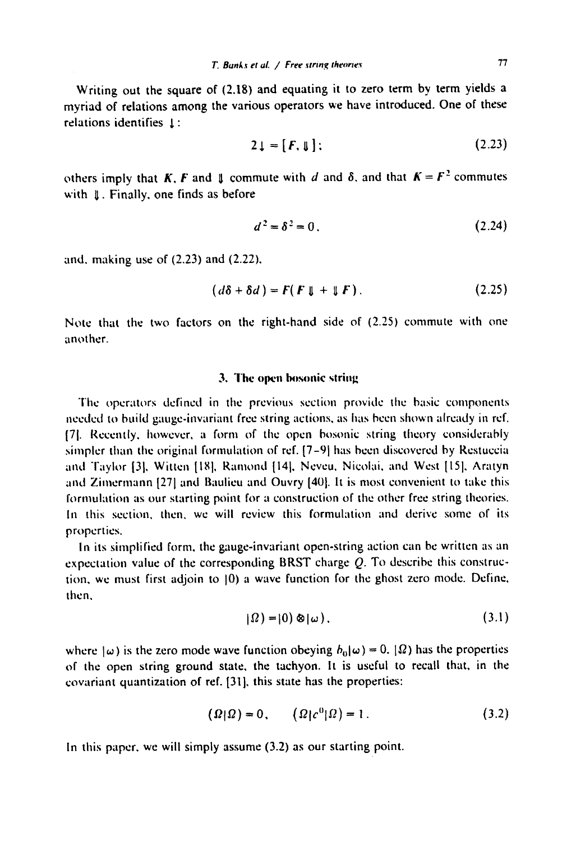Writing out the square of (2.18) and equating it to zero term by term yields a myriad of relations among the various operators we have introduced. One of these relations identifies 1:

$$
2\downarrow = [F, \downarrow];\tag{2.23}
$$

others imply that K, F and  $\parallel$  commute with d and  $\delta$ , and that  $K = F^2$  commutes with  $\parallel$ . Finally, one finds as before

$$
d^2 = \delta^2 = 0.
$$
 (2.24)

and. making use of (2.23) and (2.22).

$$
(d\delta + \delta d) = F(F \downarrow + \downarrow F). \tag{2.25}
$$

Note that the two factors on the right-hand side of (2.25) commute with one another.

# 3. The open bosonic string

The operators defined in the previous section provide the basic components needed to build gauge-invariant free string actions, as has been shown already in rcf. [71. Recently. however, a form of the open bosonic string theory considerably simpler than the original formulation of ref.  $[7-9]$  has been discovered by Restuccia and Taylor [3], Witten [18], Ramond [14], Neveu, Nicolai, and West [15], Aratyn and Zimermann [27] and Baulieu and Ouvry [40]. It is most convenient to take this formulation as our starting point for a construction of the other free string theories. In this section, then, we will review this formulation and derive some of its properties.

In its simplified form. the gauge-invariant open-string action can be written as an expectation value of the corresponding BRST charge  $Q$ . To describe this construction, we must first adjoin to  $|0\rangle$  a wave function for the ghost zero mode. Define, then,

$$
|\Omega\rangle = |0\rangle \otimes |\omega\rangle. \tag{3.1}
$$

where  $|\omega\rangle$  is the zero mode wave function obeying  $b_{0}|\omega\rangle = 0$ .  $|\Omega\rangle$  has the properties of the open string ground state, the tachyon. It is useful to recall that, in the covariant quantization of ref. [31], this state has the properties:

$$
(\Omega|\Omega) = 0, \qquad (\Omega|c^0|\Omega) = 1. \tag{3.2}
$$

In this paper, we will simply assume (3.2) as our starting point.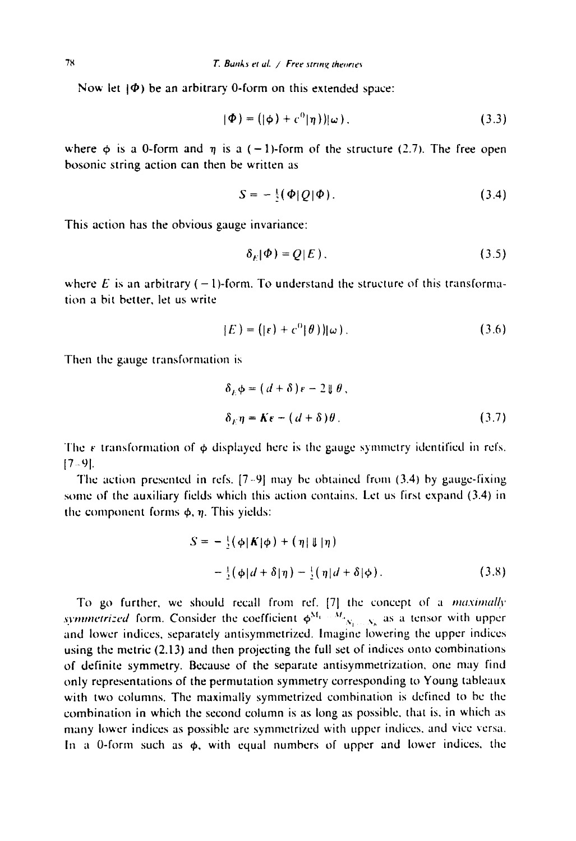Now let  $|\Phi\rangle$  be an arbitrary 0-form on this extended space:

$$
|\Phi\rangle = (|\phi\rangle + c^0|\eta\rangle)|\omega\rangle. \tag{3.3}
$$

where  $\phi$  is a 0-form and  $\eta$  is a  $(-1)$ -form of the structure (2.7). The free open bosonic string action can then be written as

$$
S = -\frac{1}{2}(\Phi|Q|\Phi). \tag{3.4}
$$

This action has the obvious gauge invariance:

$$
\delta_E|\Phi\rangle = Q|E\rangle. \tag{3.5}
$$

where E is an arbitrary  $(-1)$ -form. To understand the structure of this transformation a bit better, let us write

$$
|E| = (|\varepsilon| + c^0 | \theta)) |\omega| \tag{3.6}
$$

Then the gauge transformation is

$$
\delta_E \phi = (d + \delta) \epsilon - 2 \mathbb{I} \theta,
$$
  

$$
\delta_E \eta = K \epsilon - (d + \delta) \theta.
$$
 (3.7)

The  $\epsilon$  transformation of  $\phi$  displayed here is the gauge symmetry identified in refs.  $[7 - 9]$ .

The action presented in refs.  $[7-9]$  may be obtained from (3.4) by gauge-fixing some of the auxiliary fields which this action contains. Let us first expand (3.4) in the component forms  $\phi$ ,  $\eta$ . This yields:

$$
S = -\frac{1}{2}(\phi |K|\phi) + (\eta | \mathbf{U} | \eta)
$$
  
-
$$
\frac{1}{2}(\phi |d + \delta | \eta) - \frac{1}{2}(\eta |d + \delta | \phi).
$$
 (3.8)

To go further, we should recall from ref. [7] the concept of a *maximally symmetrized* form. Consider the coefficient  $\phi^{M_1 \ldots M_n}$ , as a tensor with upper and lower indices, separately antisymmetrizcd. Imagine lowering the upper indices using the metric (2.13) and then projecting the full set of indices onto combinations of definite symmetry. Because of the separate antisymmetrization, one may find only representations of the permutation symmetry corresponding to Young tableaux with two columns. The maximally symmetrized combination is defined to be the combination in which the second column is as long as possible, that is, in which as many lower indices as possible are symmetrized with upper indices, and vice versa. In a 0-form such as  $\phi$ , with equal numbers of upper and lower indices, the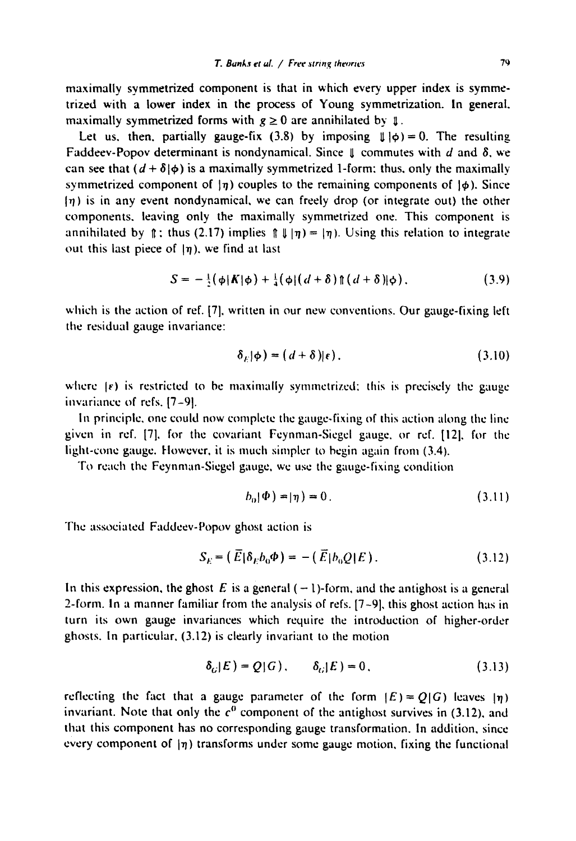maximally symmetrized component is that in which every upper index is symmetrized with a lower index in the process of Young symmetrization. In general. maximally symmetrized forms with  $g \ge 0$  are annihilated by  $\mathbf{I}$ .

Let us, then, partially gauge-fix (3.8) by imposing  $\parallel \parallel \phi$ ) = 0. The resulting Faddeev-Popov determinant is nondynamical. Since  $\parallel$  commutes with d and  $\delta$ , we can see that  $(d + \delta | \phi)$  is a maximally symmetrized 1-form: thus, only the maximally symmetrized component of  $|\eta\rangle$  couples to the remaining components of  $|\phi\rangle$ . Since  $\eta$ ) is in any event nondynamical, we can freely drop (or integrate out) the other components, leaving only the maximally symmetrized one. This component is annihilated by f; thus (2.17) implies  $\int \frac{1}{\pi} \ln |n| = |n|$ . Using this relation to integrate out this last piece of  $\eta$ ), we find at last

$$
S = -\frac{1}{2}(\phi|\boldsymbol{K}|\phi) + \frac{1}{4}(\phi|(d+\delta)\mathop{\parallel}(d+\delta)|\phi), \qquad (3.9)
$$

which is the action of ref. [7]. written in our new conventions. Our gauge-fixing left the residual gauge invariance:

$$
\delta_E|\phi\rangle = (d+\delta)|\epsilon\rangle. \tag{3.10}
$$

where  $\{e\}$  is restricted to be maximally symmetrized; this is precisely the gauge invariance of refs. [7-9].

In principle, one could now complete the gauge-fixing of this action along the line given in ref. [7], for the covariant Feynman-Siegel gauge, or ref. [12], for the light-cone gauge. However, it is much simpler to begin again from  $(3.4)$ .

To reach the Feynman-Siegel gauge, we use the gauge-fixing condition

$$
b_0|\Phi\rangle = |\eta\rangle = 0. \tag{3.11}
$$

The associated Faddeev-Popov ghost action is

$$
S_E = \left( \overline{E} | \delta_E b_0 \Phi \right) = - \left( \overline{E} | b_0 Q | E \right). \tag{3.12}
$$

In this expression, the ghost E is a general  $(-1)$ -form, and the antighost is a general 2-form. In a manner familiar from the analysis of refs. [7-9], this ghost action has in turn its own gauge invariances which require the introduction of higher-order ghosts. In particular, (3.12) is clearly invariant to the motion

$$
\delta_G|E) = Q(G), \qquad \delta_G|E| = 0,
$$
\n(3.13)

reflecting the fact that a gauge parameter of the form  $|E| = Q|G|$  leaves  $|\eta|$ invariant. Note that only the  $c<sup>0</sup>$  component of the antighost survives in (3.12), and that this component has no corresponding gauge transformation. In addition, since every component of  $|\eta|$ ) transforms under some gauge motion, fixing the functional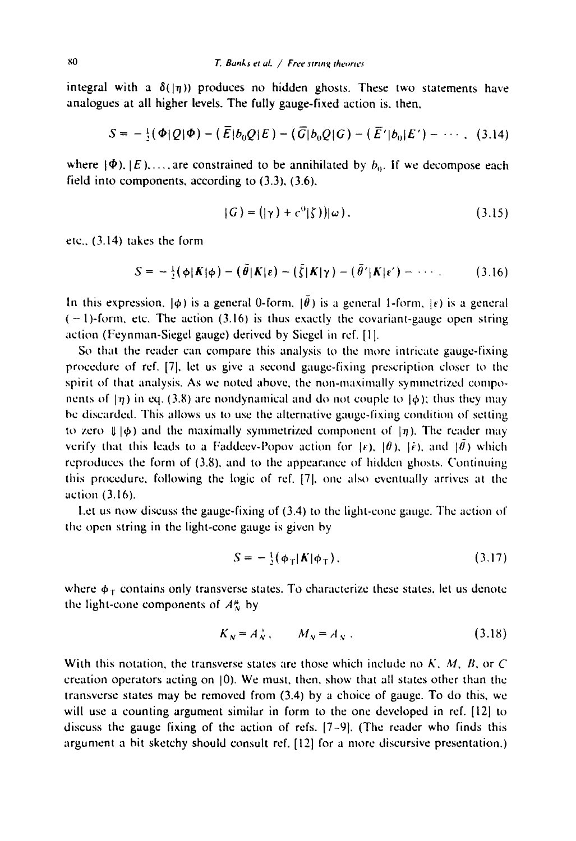integral with a  $\delta(|\eta\rangle)$  produces no hidden ghosts. These two statements have analogues at all higher levels. The fully gauge-fixed action is, then,

$$
S = -\frac{1}{2}(\Phi|Q|\Phi) - (\bar{E}|b_0Q|E) - (\bar{G}|b_0Q|G) - (\bar{E}'|b_0|E') - \cdots, (3.14)
$$

where  $\{\Phi\}$ ,  $\{E\}$ ,..., are constrained to be annihilated by  $b_0$ . If we decompose each field into components, according to (3.3), (3.6),

$$
(G) = (|\gamma|) + c^0 |\zeta|) |\omega| \,.
$$

etc., (3.14) takes the form

$$
S = -\frac{1}{2}(\phi|\boldsymbol{K}|\phi) - (\tilde{\theta}|\boldsymbol{K}|\varepsilon) - (\tilde{\zeta}|\boldsymbol{K}|\gamma) - (\tilde{\theta}'|\boldsymbol{K}|\varepsilon') - \cdots
$$
 (3.16)

In this expression,  $|\phi\rangle$  is a general 0-form,  $|\bar{\theta}\rangle$  is a general 1-form,  $|\epsilon\rangle$  is a general  $(-1)$ -form, etc. The action (3.16) is thus exactly the covariant-gauge open string action (Feynman-Siegel gauge) derived by Siegel in ref. [1].

So that the reader can compare this analysis to the more intricate gauge-fixing procedure of ref. [7], let us give a second gauge-fixing prescription closer to the spirit of that analysis. As we noted above, the non-maximally symmetrized components of  $|\eta\rangle$  in eq. (3.8) are nondynamical and do not couple to  $|\phi\rangle$ ; thus they may be discarded. This allows us to use the alternative gauge-fixing condition of setting to zero  $\parallel \phi$ ) and the maximally symmetrized component of  $\mid \eta$ ). The reader may verify that this leads to a Faddeev-Popov action for  $|\varepsilon|$ ,  $|\theta|$ ,  $|\tilde{\varepsilon}|$ , and  $|\tilde{\theta}|$ ) which reproduces the form of  $(3.8)$ , and to the appearance of hidden ghosts. Continuing this procedure, following the logic of rcf. [7], one also eventually arrives at the action (3.16).

Let us now discuss the gauge-fixing of (3.4) tO the light-cone gauge. The action of the open string in the light-cone gauge is given by

$$
S = -\frac{1}{2}(\phi_T|\boldsymbol{K}|\phi_T), \qquad (3.17)
$$

where  $\phi_T$  contains only transverse states. To characterize these states, let us denote the light-cone components of  $A_N^{\mu}$  by

$$
K_N = A_N^+, \qquad M_N = A_N^-. \tag{3.18}
$$

With this notation, the transverse states are those which include no *K, M, B,* or C creation operators acting on 10). We must, then, show that all states other than the transverse states may be removed from (3.4) by a choice of gauge. To do this, we will use a counting argument similar in form to the one developed in ref. [12] to discuss the gauge fixing of the action of refs.  $[7-9]$ . (The reader who finds this argument a bit sketchy should consult rcf. [12] for a more discursive presentation.)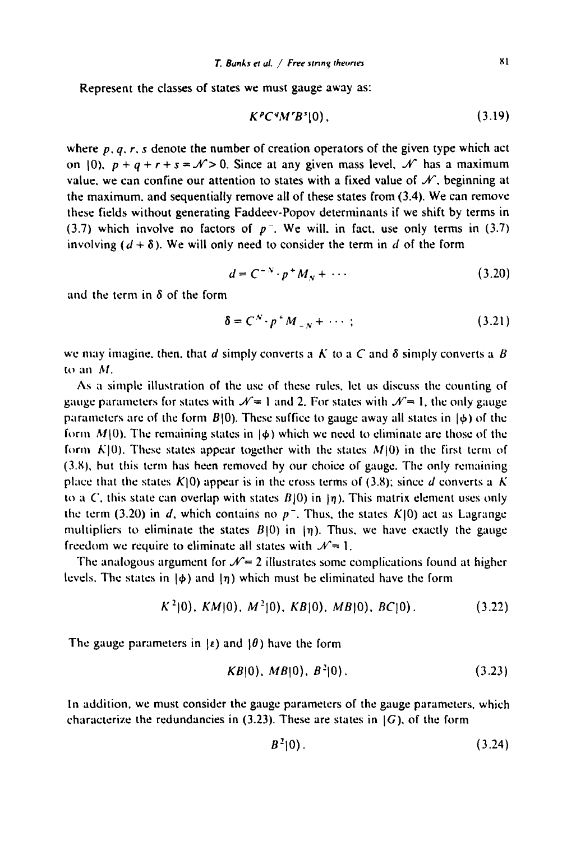Represent the classes of states we must gauge away as:

$$
K^p C^q M^r B^s |0), \qquad \qquad (3.19)
$$

where  $p, q, r, s$  denote the number of creation operators of the given type which act on 10),  $p + q + r + s = \mathcal{N} > 0$ . Since at any given mass level,  $\mathcal{N}$  has a maximum value, we can confine our attention to states with a fixed value of  $\mathcal{N}$ , beginning at the maximum, and sequentially remove all of these states from (3.4). We can remove these fields without generating Faddeev-Popov determinants if we shift by terms in (3.7) which involve no factors of  $p^-$ . We will, in fact, use only terms in (3.7) involving  $(d + \delta)$ . We will only need to consider the term in d of the form

$$
d = C^{-N} \cdot p^+ M_N + \cdots \tag{3.20}
$$

and the term in  $\delta$  of the form

$$
\delta = C^N \cdot p^M_{-N} + \cdots; \qquad (3.21)
$$

we may imagine, then, that d simply converts a K to a C and  $\delta$  simply converts a B to an  $M$ .

As a simple illustration of the use of these rules, let us discuss the counting of gauge parameters for states with  $\mathcal{N}=1$  and 2. For states with  $\mathcal{N}=1$ , the only gauge parameters are of the form  $B(0)$ . These suffice to gauge away all states in  $\phi$ ) of the form  $M(0)$ . The remaining states in  $\phi$ ) which we need to eliminate are those of the form  $K[0]$ . These states appear together with the states  $M[0]$  in the first term of  $(3.8)$ , but this term has been removed by our choice of gauge. The only remaining place that the states  $K[0]$  appear is in the cross terms of (3.8); since d converts a K to a C, this state can overlap with states  $B(0)$  in  $\eta$ ). This matrix element uses only the term (3.20) in *d*, which contains no  $p^{-}$ . Thus, the states  $K(0)$  act as Lagrange multipliers to eliminate the states  $B(0)$  in  $\eta$ ). Thus, we have exactly the gauge freedom we require to eliminate all states with  $\mathcal{N}= 1$ .

The analogous argument for  $\mathcal{N}=2$  illustrates some complications found at higher levels. The states in  $\phi$ ) and  $\eta$ ) which must be eliminated have the form

$$
K^2|0\rangle
$$
,  $KM|0\rangle$ ,  $M^2|0\rangle$ ,  $KB|0\rangle$ ,  $MB|0\rangle$ ,  $BC|0\rangle$ . (3.22)

The gauge parameters in  $\epsilon$ ) and  $\theta$ ) have the form

$$
KB|0), MB|0), B^2|0).
$$
 (3.23)

In addition, we must consider the gauge parameters of the gauge parameters, which characterize the redundancies in (3.23). These are states in *[G),* of the form

$$
B^2|0\rangle. \t(3.24)
$$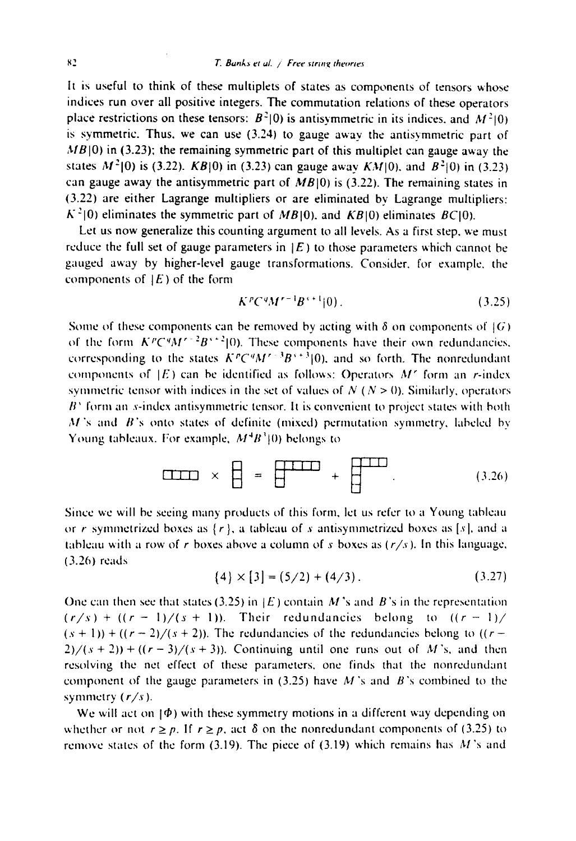It is useful to think of these multiplets of states as components of tensors whose indices run over all positive integers. The commutation relations of these operators place restrictions on these tensors:  $B^2(0)$  is antisymmetric in its indices, and  $M^2(0)$ is symmetric. Thus, we can use  $(3.24)$  to gauge away the antisymmetric part of *MB*(0) in (3.23); the remaining symmetric part of this multiplet can gauge away the states  $M^2$ [0) is (3.22). *KB*[0) in (3.23) can gauge away *KM*[0], and  $B^2$ [0) in (3.23) can gauge away the antisymmetric part of  $MB|0\rangle$  is (3.22). The remaining states in (3.22) are either Lagrange multipliers or are eliminated bv Lagrange multipliers:  $K^2(0)$  eliminates the symmetric part of *MB*[0], and *KB*[0] eliminates *BC*[0].

Let us now generalize this counting argument to all levels. As a first step. we must reduce the full set of gauge parameters in  $|E|$  to those parameters which cannot be gauged away by higher-level gauge transformations. Consider. for example, the components of  $|E|$  of the form

$$
K^{p}C^{q}M^{r-1}B^{s+1}|0).
$$
 (3.25)

Some of these components can be removed by acting with  $\delta$  on components of  $\{G\}$ of the form  $K^pC^qM^{r-2}B^{r+2}|0\rangle$ . These components have their own redundancies. corresponding to the states  $K^pC^qM^{r-3}B^{s+3}|0\rangle$ , and so forth. The nonredundant components of  $|E\rangle$  can be identified as follows: Operators  $M'$  form an r-index symmetric tensor with indices in the set of values of  $N (N > 0)$ . Similarly, operators  $B<sup>3</sup>$  form an s-index antisymmetric tensor. It is convenient to project states with both  $M$ 's and  $B$ 's onto states of definite (mixed) permutation symmetry, labeled by Young tableaux. For example,  $M^{4}B^{3}(0)$  belongs to

$$
\boxed{\text{min}} \times \boxed{\text{ = } \boxed{\text{min}} + \boxed{\text{min}} \tag{3.26}
$$

Since we will be seeing many products of this form, let us refer to a Young tableau or r symmetrized boxes as  $\{r\}$ , a tableau of s antisymmetrized boxes as [s], and a tableau with a row of r boxes above a column of s boxes as  $(r/s)$ . In this language, (3.26) reads

$$
\{4\} \times [3] = (5/2) + (4/3). \tag{3.27}
$$

One can then see that states (3.25) in  $|E|$  contain M's and B's in the representation  $(r/s)$  +  $((r-1)/(s+1))$ . Their redundancies belong to  $((r-1)/$  $(s + 1)$ ) + ( $(r-2)/(s + 2)$ ). The redundancies of the redundancies belong to ( $(r 2)/(s + 2)$ ) + ( $(r - 3)/(s + 3)$ ). Continuing until one runs out of M's, and then resolving the net effect of these parameters, one finds that the nonrcdundant component of the gauge parameters in (3.25) have M's and *B's* combined to the symmetry ( *r/s ).* 

We will act on  $|\Phi\rangle$  with these symmetry motions in a different way depending on whether or not  $r \ge p$ . If  $r \ge p$ , act  $\delta$  on the nonredundant components of (3.25) to remove states of the form (3.19). The piece of (3.19) which remains has  $M$ 's and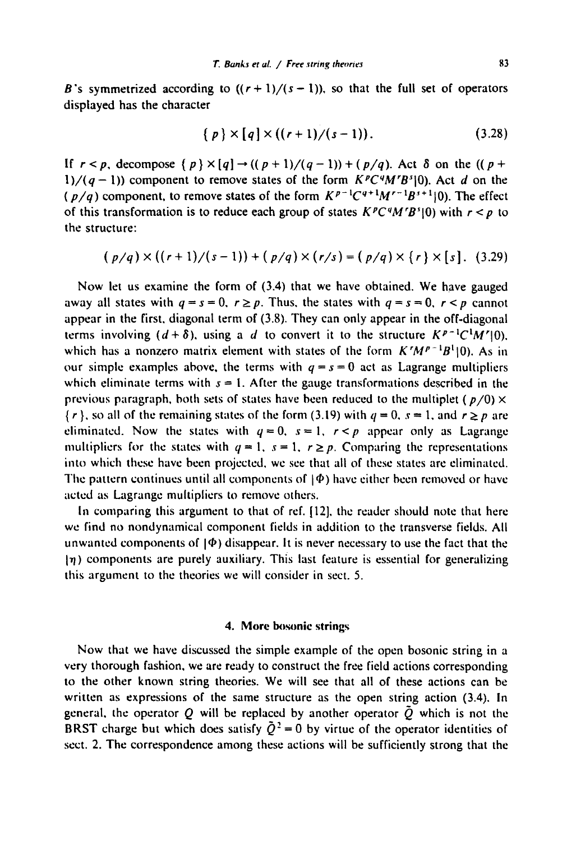B's symmetrized according to  $((r + 1)/(s - 1))$ , so that the full set of operators displayed has the character

$$
\{p\} \times [q] \times ((r+1)/(s-1)). \tag{3.28}
$$

If  $r < p$ , decompose  $\{p\} \times [q] \rightarrow ((p + 1)/(q - 1)) + (p/q)$ . Act  $\delta$  on the  $((p +$  $1/(q-1)$ ) component to remove states of the form  $K^pC^qM^rB^s(0)$ . Act d on the (p/q) component, to remove states of the form  $K^{p-1}C^{q+1}M^{r-1}B^{s+1}$  (0). The effect of this transformation is to reduce each group of states  $K^pC^qM^rB^s(0)$  with  $r < p$  to the structure:

$$
(p/q) \times ((r+1)/(s-1)) + (p/q) \times (r/s) = (p/q) \times (r) \times [s]. \quad (3.29)
$$

Now let us examine the form of (3.4) that we have obtained. We have gauged away all states with  $q = s = 0$ ,  $r \ge p$ . Thus, the states with  $q = s = 0$ ,  $r \le p$  cannot appear in the first, diagonal term of (3.8). They can only appear in the off-diagonal terms involving  $(d+\delta)$ , using a d to convert it to the structure  $K^{p-1}C^1M^r(0)$ . which has a nonzero matrix element with states of the form  $K'M^{p-1}B^1(0)$ . As in our simple examples above, the terms with  $q = s = 0$  act as Lagrange multipliers which eliminate terms with  $s = 1$ . After the gauge transformations described in the previous paragraph, both sets of states have been reduced to the multiplet ( $p/0$ )  $\times$  $\{r\}$ , so all of the remaining states of the form (3.19) with  $q = 0$ ,  $s = 1$ , and  $r \ge p$  are eliminated. Now the states with  $q=0$ ,  $s=1$ ,  $r < p$  appear only as Lagrange multipliers for the states with  $q = 1$ ,  $s = 1$ ,  $r \ge p$ . Comparing the representations into which these have been projected, we see that all of these states are eliminated. The pattern continues until all components of  $|\Phi\rangle$  have either been removed or have acted as Lagrange multipliers to remove others.

In comparing this argument to that of ref. [12], the reader should note that here we find no nondynamical component fields in addition to the transverse fields. All unwanted components of  $|\Phi\rangle$  disappear. It is never necessary to use the fact that the  $\eta$ ) components are purely auxiliary. This last feature is essential for generalizing this argument to the theories we will consider in sect. 5.

#### **4. More bosonic strings**

Now that we have discussed the simple example of the open bosonic string in a very thorough fashion, we are ready to construct the free field actions corresponding to the other known string theories. We will see that all of these actions can be written as expressions of the same structure as the open string action (3.4), In general, the operator Q will be replaced by another operator  $\tilde{Q}$  which is not the BRST charge but which does satisfy  $\tilde{Q}^2 = 0$  by virtue of the operator identities of sect. 2. The correspondence among these actions will be sufficiently strong that the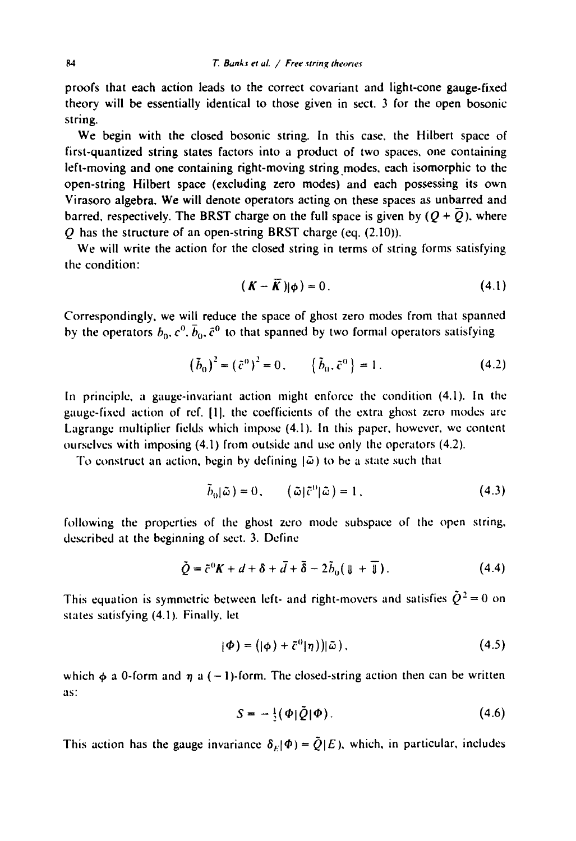proofs that each action leads to the correct covariant and light-cone gauge-fixed theory will be essentially identical to those given in sect. 3 for the open bosonic string.

We begin with the closed bosonic string. In this case, the Hilbert space of first-quantized string states factors into a product of two spaces, one containing left-moving and one containing right-moving string modes, each isomorphic to the open-string Hilbert space (excluding zero modes) and each possessing its own Virasoro algebra. We will denote operators acting on these spaces as unbarred and barred, respectively. The BRST charge on the full space is given by  $(Q + \overline{Q})$ , where Q has the structure of an open-string BRST charge (eq. (2.10)).

We will write the action for the closed string in terms of string forms satisfying the condition:

$$
(\boldsymbol{K} - \boldsymbol{\overline{K}})|\boldsymbol{\phi}) = 0. \tag{4.1}
$$

Correspondingly. we will reduce the space of ghost zero modes from that spanned by the operators  $b_0$ ,  $c^0$ ,  $\bar{b}_0$ ,  $\bar{c}^0$  to that spanned by two formal operators satisfying

$$
(\tilde{b}_0)^2 = (\tilde{c}^0)^2 = 0, \qquad (\tilde{b}_0, \tilde{c}^0) = 1.
$$
 (4.2)

In principle, a gauge-invariant action might enforce the condition (4.1). In the gauge-fixed action of ref. [1], the coefficients of the extra ghost zero modes are Lagrange multiplier fields which impose (4.1), In this paper, however, we content ourselves with imposing (4.1) from outside and use only the operators (4.2).

To construct an action, begin by defining  $|~\tilde{\omega}$ ) to be a state such that

$$
\tilde{b}_0|\tilde{\omega}\,|=0\,,\qquad \left(\tilde{\omega}\,|\tilde{c}^0|\tilde{\omega}\,\right)=1\,,\tag{4.3}
$$

following the properties of the ghost zero mode subspace of the open string, described at the beginning of sect. 3. Define

$$
\tilde{Q} = \tilde{c}^0 K + d + \delta + \bar{d} + \bar{\delta} - 2\tilde{b}_0(\mathbf{U} + \mathbf{U}). \tag{4.4}
$$

This equation is symmetric between left- and right-movers and satisfies  $\tilde{Q}^2 = 0$  on states satisfying (4.1). Finally. let

$$
(\Phi) = (|\phi) + \tilde{c}^0|\eta)\,|\tilde{\omega}\,|,\tag{4.5}
$$

which  $\phi$  a 0-form and  $\eta$  a ( - 1)-form. The closed-string action then can be written as:

$$
S = -\frac{1}{2}(\Phi|\tilde{Q}|\Phi). \tag{4.6}
$$

This action has the gauge invariance  $\delta_E|\Phi\rangle = \tilde{Q}(E)$ , which, in particular, includes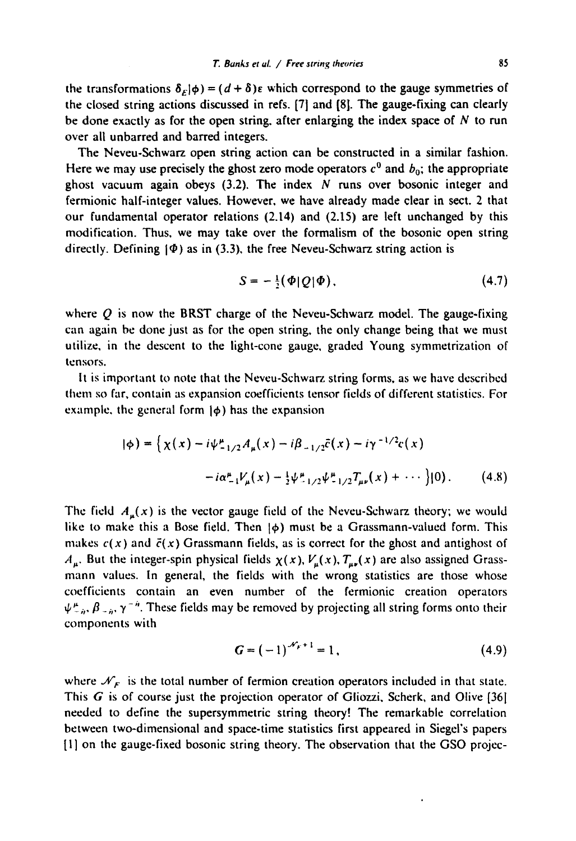the transformations  $\delta_E|\phi\rangle = (d + \delta)\varepsilon$  which correspond to the gauge symmetries of the closed string actions discussed in refs. [71 and [81. The gauge-fixing can clearly be done exactly as for the open string, after enlarging the index space of  $N$  to run over all unbarred and barred integers.

The Neveu-Schwarz open string action can be constructed in a similar fashion. Here we may use precisely the ghost zero mode operators  $c^0$  and  $b_0$ ; the appropriate ghost vacuum again obeys  $(3.2)$ . The index N runs over bosonic integer and fermionic half-integer values. However, we have already made clear in sect. 2 that our fundamental operator relations (2.14) and (2.15) are left unchanged by this modification. Thus, we may take over the formalism of the bosonic open string directly. Defining  $\phi$ ) as in (3.3), the free Neveu-Schwarz string action is

$$
S=-\frac{1}{2}(\Phi|Q|\Phi), \qquad (4.7)
$$

where  $Q$  is now the BRST charge of the Neveu-Schwarz model. The gauge-fixing can again be done just as for the open string, the only change being that we must utilize, in the descent to the light-cone gauge, graded Young symmetrization of tensors.

It is important to note that the Neveu-Schwarz string forms, as we have described them so far, contain as expansion coefficients tensor fields of different statistics. For example, the general form  $|\phi\rangle$  has the expansion

$$
|\phi\rangle = \left\{ \chi(x) - i\psi_{-1/2}^{\mu} A_{\mu}(x) - i\beta_{-1/2} \bar{c}(x) - i\gamma^{-1/2} c(x) -i\alpha_{-1}^{\mu} V_{\mu}(x) - \frac{1}{2} \psi_{-1/2}^{\mu} \psi_{-1/2}^{\mu} T_{\mu\nu}(x) + \cdots \right\} |0\rangle. \tag{4.8}
$$

The field  $A_{\mu}(x)$  is the vector gauge field of the Neveu-Schwarz theory; we would like to make this a Bose field. Then  $|\phi\rangle$  must be a Grassmann-valued form. This makes  $c(x)$  and  $\bar{c}(x)$  Grassmann fields, as is correct for the ghost and antighost of  $A_{\mu}$ . But the integer-spin physical fields  $\chi(x)$ ,  $V_{\mu}(x)$ ,  $T_{\mu\nu}(x)$  are also assigned Grassmann values. In general, the fields with the wrong statistics are those whose coefficients contain an even number of the fermionic creation operators  $\psi_{-n}^{\mu}$ ,  $\beta_{-n}$ ,  $\gamma^{-n}$ . These fields may be removed by projecting all string forms onto their components with

$$
G = (-1)^{\mathcal{N}_F + 1} = 1, \tag{4.9}
$$

where  $\mathcal{N}_F$  is the total number of fermion creation operators included in that state. This G is of course just the projection operator of Gliozzi, Scherk, and Olive [361 needed to define the supersymmetric string theory! The remarkable correlation between two-dimensional and space-time statistics first appeared in Siegei's papers [I] on the gauge-fixed bosonic string theory. The observation that the GSO projec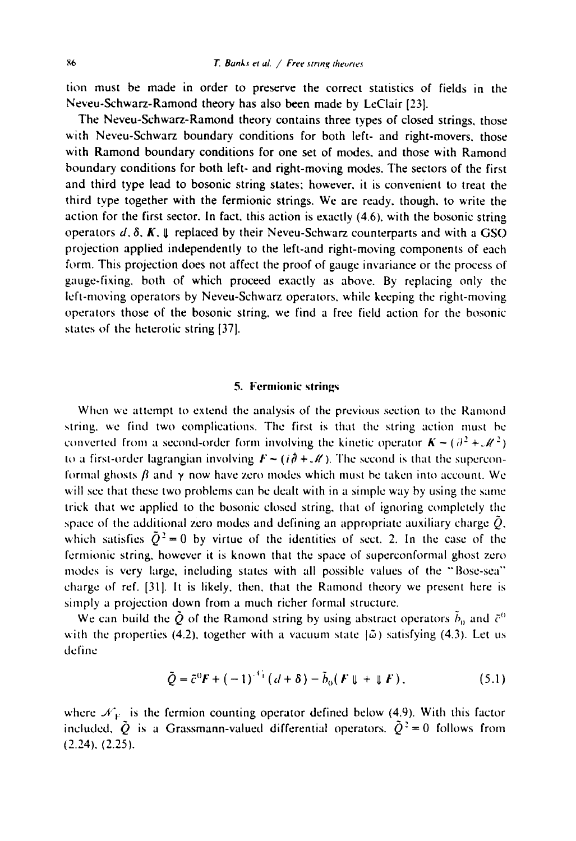**tion must be made in order to preserve the correct statistics of fields in the Neveu-Schwarz-Ramond theory has also been made by LeClair [23].** 

**The Neveu-Schwarz-Ramond theory contains three types of closed strings, those with Neveu-Schwarz boundary conditions for both left- and right-movers, those with Ramond boundary conditions for one set of modes, and those with Ramond boundary conditions for both left- and right-moving modes. The sectors of the first and third type lead to bosonic string states: however, it is convenient to treat the third type together with the fermionic strings. We are ready, though, to write the action for the first sector. In fact, this action is exactly (4.6). with the bosonic string operators**  $d, \delta, K, \psi$  **replaced by their Neveu-Schwarz counterparts and with a GSO projection applied independently to the left-and right-moving components of each form. This projection does not affect the proof of gauge invariance or the process of gauge-fixing, both of which proceed exactly as above. By replacing only the left-moving operators by Neveu-Schwarz operators, while keeping the right-moving operators those of the bosonic string, we find a free field action for the bosonic states of the heterotic string [37 I.** 

## 5. Fermionic strings

When we attempt to extend the analysis of the previous section to the Ramond string, we find two complications. The first is that the string action must be converted from a second-order form involving the kinetic operator  $K \sim (\partial^2 + M^2)$ to a first-order lagrangian involving  $F \sim (i\hat{\theta} + \mathcal{M})$ . The second is that the superconformal ghosts  $\beta$  and  $\gamma$  now have zero modes which must be taken into account. We will see that these two problems can be dealt with in a simple way by using the same trick that we applied **to the** bosonic closed string, that of ignoring completely the space of the additional zero modes and defining an appropriate auxiliary charge  $\tilde{Q}$ , which satisfies  $\tilde{Q}^2 = 0$  by virtue of the identities of sect. 2. In the case of the fcrmionic string, however it is known **that the** space of superconformal ghost **zero**  modes is very large, including states with all possible values of the "'Bose-sea'" charge of ref. [31]. It is likely, then, that the Ramond theory we present here is simply a projection down from a much **richer** formal structure.

We can build the  $\bar{Q}$  of the Ramond string by using abstract operators  $\bar{b}_0$  and  $\bar{c}^0$ with the properties (4.2), together with a vacuum state  $|\tilde{\omega}\rangle$  satisfying (4.3). Let us define

$$
\tilde{Q} = \tilde{c}^0 F + (-1)^{-\delta_+} (d + \delta) - \tilde{b}_0 (F \Downarrow + \Downarrow F), \qquad (5.1)
$$

where  $\mathcal{N}_V$  is the fermion counting operator defined below (4.9). With this factor included,  $\tilde{Q}$  is a Grassmann-valued differential operators.  $\tilde{Q}^2 = 0$  follows from (2.24). (2.25).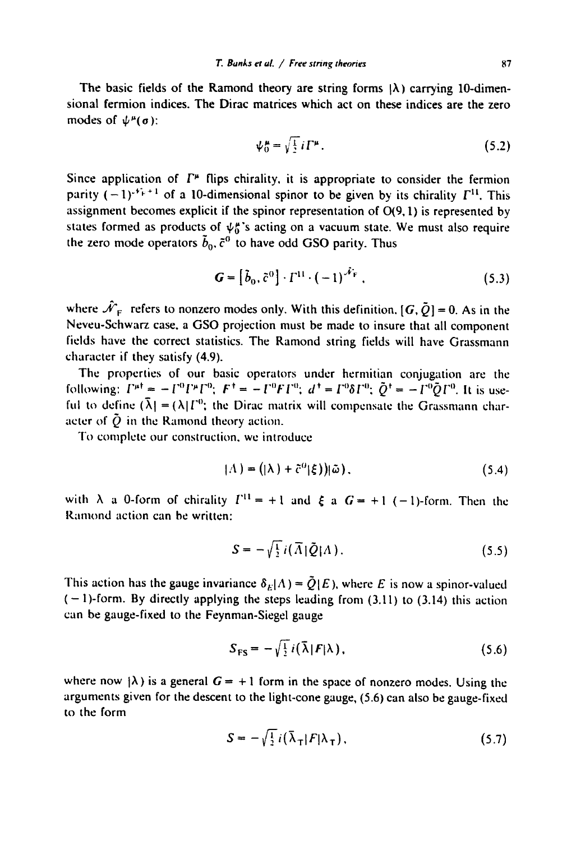The basic fields of the Ramond theory are string forms  $|\lambda\rangle$  carrying 10-dimensional fermion indices. The Dirac matrices which act on these indices are the zero modes of  $\psi^{\mu}(\sigma)$ :

$$
\psi_0^{\mu} = \sqrt{\frac{1}{2}} i \Gamma^{\mu}.
$$
 (5.2)

Since application of  $\Gamma^*$  flips chirality, it is appropriate to consider the fermion parity  $(-1)^{x^2+1}$  of a 10-dimensional spinor to be given by its chirality  $\Gamma^{11}$ . This assignment becomes explicit if the spinor representation of 0(9, 1) is represented by states formed as products of  $\psi_0^*$ 's acting on a vacuum state. We must also require the zero mode operators  $\tilde{b}_0$ ,  $\tilde{c}^0$  to have odd GSO parity. Thus

$$
\mathbf{G} = \left[\tilde{b}_0, \tilde{c}^0\right] \cdot \Gamma^{11} \cdot \left(-1\right)^{\tilde{\mathcal{N}}_{\rm F}}\,. \tag{5.3}
$$

where  $\hat{\mathcal{N}}_F$  refers to nonzero modes only. With this definition.  $[G, \tilde{Q}] = 0$ . As in the Neveu-Schwarz case, a GSO projection must be made to insure that all component fields have the correct statistics. The Ramond string fields will have Grassmann character if they satisfy (4.9).

The properties of our basic operators under hermitian conjugation are the following:  $\Gamma^{\mu \dagger} = -\Gamma^0 \Gamma^{\mu} \Gamma^0$ ;  $F^{\dagger} = -\Gamma^0 F \Gamma^0$ ;  $d^{\dagger} = \Gamma^0 \delta \Gamma^0$ ;  $\tilde{O}^{\dagger} = -\Gamma^0 \tilde{O} \Gamma^0$ . It is useful to define  $({\lambda}) = (\lambda) \Gamma^0$ ; the Dirac matrix will compensate the Grassmann character of  $\tilde{Q}$  in the Ramond theory action.

To complete our construction, we introduce

$$
|\Lambda\rangle = (|\lambda\rangle + \tilde{c}^0|\xi\rangle)|\tilde{\omega}\,.
$$
 (5.4)

with  $\lambda$  a 0-form of chirality  $I^{(1)} = +1$  and  $\xi$  a  $G = +1$  (-1)-form. Then the Ramond action can be written:

$$
S = -\sqrt{\frac{1}{2}} i(\vec{\Lambda}|\vec{Q}|\Lambda). \tag{5.5}
$$

This action has the gauge invariance  $\delta_E|\Lambda\rangle = \tilde{Q}(E)$ , where E is now a spinor-valued  $(-1)$ -form. By directly applying the steps leading from (3.11) to (3.14) this action can be gauge-fixed to the Feynman-Siegel gauge

$$
S_{\text{FS}} = -\sqrt{\frac{1}{2}} i(\bar{\lambda} | \mathbf{F} | \lambda), \qquad (5.6)
$$

where now  $\{\lambda\}$  is a general  $G = +1$  form in the space of nonzero modes. Using the arguments given for the descent to the light-cone gauge, (5.6) can also be gauge-fixed to the form

$$
S = -\sqrt{\frac{1}{2}} i (\bar{\lambda}_{\tau} |F|\lambda_{\tau}), \qquad (5.7)
$$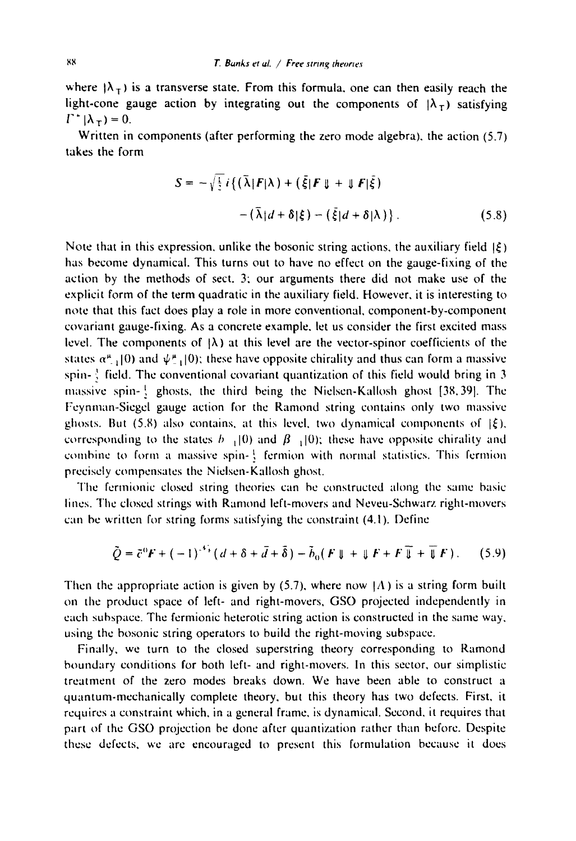where  $|\lambda_+|$  is a transverse state. From this formula, one can then easily reach the light-cone gauge action by integrating out the components of  $|\lambda_T|$  satisfying  $\Gamma^+|\lambda_\tau|=0.$ 

Written in components (after performing the zero mode algebra), the action (5.7) takes the form

$$
S = -\sqrt{\frac{1}{2}} i \{ (\bar{\lambda} | F | \lambda) + (\bar{\xi} | F | \sharp + \sharp F | \bar{\xi})
$$
  
 
$$
- (\bar{\lambda} | d + \delta | \xi) - (\bar{\xi} | d + \delta | \lambda) \}.
$$
 (5.8)

Note that in this expression, unlike the bosonic string actions, the auxiliary field  $\left|\xi\right\rangle$ has become dynamical. This turns out to have no effect on the gauge-fixing of the action by the methods of sect. 3; our arguments there did not make use of the explicit form of the term quadratic in the auxiliary field. However, it is interesting to note that this fact does play a role in more conventional, component-by-component covariant gauge-fixing. As a concrete example, let us consider the first excited mass level. The components of  $|\lambda\rangle$  at this level are the vector-spinor coefficients of the states  $\alpha_{-1}^{\mu}(0)$  and  $\psi_{-1}^{\mu}(0)$ ; these have opposite chirality and thus can form a massive spin- $\frac{3}{2}$  field. The conventional covariant quantization of this field would bring in 3 massive spin-  $\frac{1}{2}$  ghosts, the third being the Nielsen-Kallosh ghost [38,39]. The Fcynman-Sicgcl gauge action for the Ramond string contains only two massive ghosts. But (5.8) also contains, at this level, two dynamical components of  $\vert \xi$ ), corresponding to the states  $h_{-1}$  (0) and  $\beta_{-1}$  (0); these have opposite chirality and combine to form a massive spin-  $\frac{1}{2}$  fermion with normal statistics. This fermion preciscly compensates the Niclscn-Kallosh ghost.

The fermionic closed string theories can be constructed along the same basic lines. The closcd strings with Ramond left-movers and Neveu-Schwarz right-movers can be written for string forms satisfying the constraint (4.1). Define

$$
\tilde{Q} = \tilde{c}^0 F + (-1)^{-4} \left( d + \delta + \bar{d} + \bar{\delta} \right) - \tilde{b}_0 \left( F \parallel + \parallel F + F \parallel + \parallel F \right). \tag{5.9}
$$

Then the appropriate action is given by  $(5.7)$ , where now  $(A)$  is a string form built on the product space of left- and right-movers, GSO projected independently in each subspace. The fermionic heterotic string action is constructed in the same way, using the bosonic string operators to build the right-moving subspace,

Finally, we turn to the closed superstring theory corresponding to Ramond boundary conditions for both left- and right-movers. In this sector, our simplistic treatment of the zero modes breaks down. We have been able to construct a quantum-mechanically complete theory, but this theory has two defects. First, it requires a constraint which, in a general frame, is dynamical. Second, it requires that part of the GSO projection be done after quantization rather than before. Despite these defects, we are encouraged to present this formulation because it does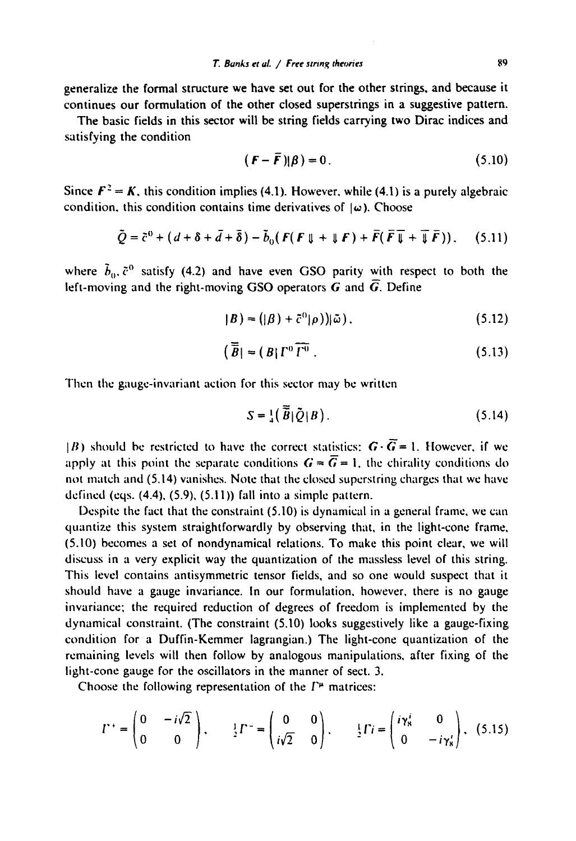generalize the formal structure we have set out for the other strings, and because it continues our formulation of the other closed superstrings in a suggestive pattern.

The basic fields in this sector will be string fields carrying two Dirac indices and satisfying the condition

$$
(\boldsymbol{F} - \boldsymbol{\bar{F}})|\boldsymbol{\beta}) = 0. \tag{5.10}
$$

Since  $\mathbf{F}^2 = \mathbf{K}$ , this condition implies (4.1). However, while (4.1) is a purely algebraic condition, this condition contains time derivatives of  $\vert \omega$ ). Choose

$$
\tilde{Q} = \tilde{c}^0 + (d + \delta + \bar{d} + \bar{\delta}) - \tilde{b}_0 (F(F \mathbf{U} + \mathbf{U} F) + \bar{F} (\bar{F} \mathbf{U} + \bar{\mathbf{U}} \bar{F})), \quad (5.11)
$$

where  $\tilde{b}_0$ ,  $\tilde{c}^0$  satisfy (4.2) and have even GSO parity with respect to both the left-moving and the right-moving GSO operators  $\vec{G}$  and  $\vec{G}$ . Define

$$
|B) = (|\beta) + \tilde{c}^0|\rho)\rangle |\tilde{\omega}|, \qquad (5.12)
$$

$$
\left(\overline{\overline{B}}\right) = \left(B\right)\Gamma^0\overline{\Gamma^0} \ . \tag{5.13}
$$

Then the gauge-invariant action for this sector may be written

$$
S = \frac{1}{4} \left( \overline{\widetilde{B}} \right| \widetilde{Q} | B \right). \tag{5.14}
$$

 $|B|$ ) should be restricted to have the correct statistics:  $G \cdot \overline{G} = 1$ . However, if we apply at this point the separate conditions  $G = \overline{G} = 1$ , the chirality conditions do not match and (5.14) vanishes. Note that the closed superstring charges that we have defined (eqs.  $(4.4)$ ,  $(5.9)$ ,  $(5.11)$ ) fall into a simple pattern.

Despite the fact that the constraint (5.10) is dynamical in a general frame, we can quantize this system straightforwardly by observing that, in the light-cone frame, (5.10) becomes a set of nondynamical relations. To make this point clear, we will discuss in a very explicit way the quantization of the massless level of this string. This level contains antisymmetric tensor fields, and so one would suspect that it should have a gauge invariance. In our formulation, however, there is no gauge invariance; the required reduction of degrees of freedom is implemented by the dynamical constraint. (The constraint (5.10) looks suggestively like a gauge-fixing condition for a Duffin-Kemmer iagrangian.) The light-cone quantization of the remaining levels will then follow by analogous manipulations, after fixing of the light-cone gauge for the oscillators in the manner of sect. 3.

Choose the following representation of the  $\Gamma^{\mu}$  matrices:

$$
\Gamma^+ = \begin{pmatrix} 0 & -i\sqrt{2} \\ 0 & 0 \end{pmatrix}, \qquad \frac{1}{2}\Gamma^- = \begin{pmatrix} 0 & 0 \\ i\sqrt{2} & 0 \end{pmatrix}, \qquad \frac{1}{2}\Gamma i = \begin{pmatrix} i\gamma_s^i & 0 \\ 0 & -i\gamma_s^i \end{pmatrix}, \quad (5.15)
$$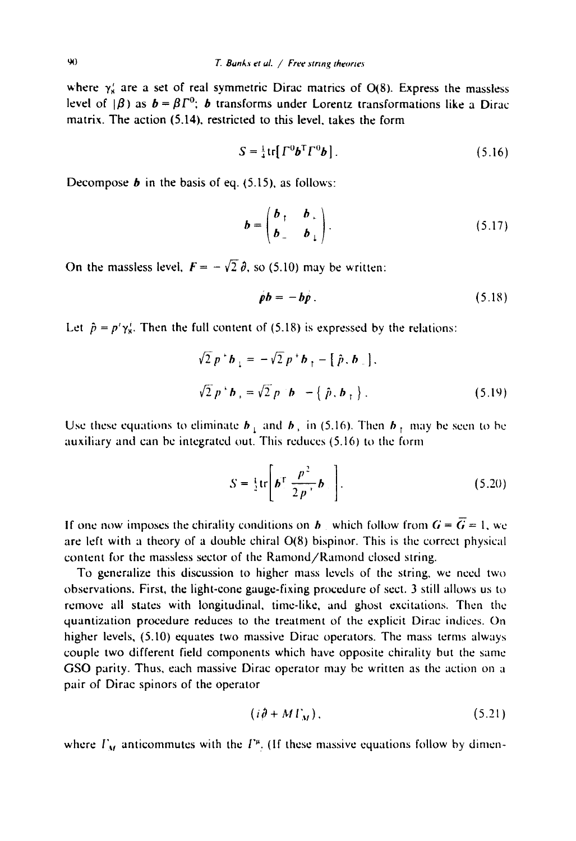where  $\gamma'_{\rm s}$  are a set of real symmetric Dirac matrics of O(8). Express the massless level of  $|\beta\rangle$  as  $\mathbf{b} = \beta \Gamma^0$ ; **b** transforms under Lorentz transformations like a Dirac matrix. The action (5.14), restricted to this level, takes the form

$$
S = \frac{1}{4} \text{tr} \left[ \Gamma^0 \boldsymbol{b}^{\mathsf{T}} \Gamma^0 \boldsymbol{b} \right]. \tag{5.16}
$$

Decompose  $\boldsymbol{b}$  in the basis of eq. (5.15), as follows:

$$
\boldsymbol{b} = \begin{pmatrix} \boldsymbol{b}_{\perp} & \boldsymbol{b}_{\perp} \\ \boldsymbol{b}_{\perp} & \boldsymbol{b}_{\perp} \end{pmatrix} . \tag{5.17}
$$

On the massless level,  $\mathbf{F} = -\sqrt{2} \, \hat{\theta}$ , so (5.10) may be written:

$$
\dot{\rho}b = -b\dot{\rho} \,. \tag{5.18}
$$

Let  $\hat{p} = p' \gamma_{\rm s}^{i}$ . Then the full content of (5.18) is expressed by the relations:

$$
\sqrt{2} p^* b_1 = -\sqrt{2} p^* b_1 - [\hat{p}, b_1],
$$
  

$$
\sqrt{2} p^* b_1 = \sqrt{2} p^* b_1 - (\hat{p}, b_1).
$$
 (5.19)

Use these equations to eliminate  $b_{\perp}$  and  $b_{\perp}$  in (5.16). Then  $b_{\perp}$  may be seen to be auxiliary and can be integrated out. This reduces (5.16) to the form

$$
S = \frac{1}{2} \text{tr} \left[ \boldsymbol{b}^{\mathrm{T}} \frac{\boldsymbol{p}^2}{2 \boldsymbol{p}^{\mathrm{T}}} \boldsymbol{b} \right]. \tag{5.20}
$$

If one now imposes the chirality conditions on b which follow from  $G = \overline{G} = 1$ , we are left with a theory of a double chiral  $O(8)$  bispinor. This is the correct physical content for the massless sector of the Ramond/Ramond closed string.

To generalize this discussion to higher mass levels of the string, we need two observations. First, the light-cone gauge-fixing procedure of sect. 3 still allows us to remove all states with longitudinal, time-like, and ghost excitations. Then the quantization procedure reduces to the treatment of the explicit Dirac indices. On higher levels, (5.10) equates two massive Dirac operators. The mass terms always couple two different field components which have opposite chirality but the same GSO parity. Thus, each massive Dirac operator may be written as the action on a pair of Dirae spinors of the operator

$$
(i\partial + M\Gamma_M),\tag{5.21}
$$

where  $\Gamma_M$  anticommutes with the  $\Gamma^{\mu}$ . (If these massive equations follow by dimen-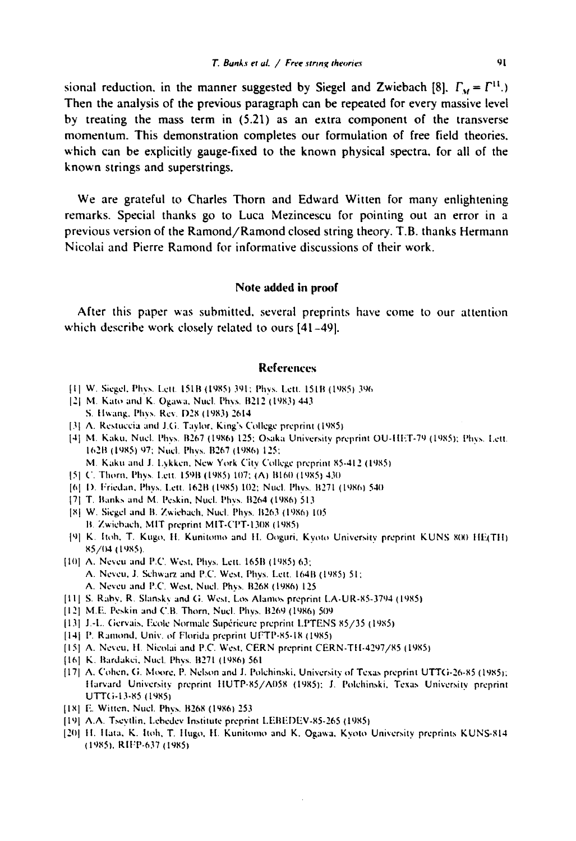sional reduction, in the manner suggested by Siegel and Zwiebach [8],  $\Gamma_M = \Gamma^{11}$ .) **Then the analysis of the previous paragraph can be repeated for every massive level by treating the mass term in (5.21) as an extra component of the transverse momentum. This demonstration completes our formulation of free field theories. which can be explicitly gauge-fixed to the known physical spectra, for all of the known strings and superstrings.** 

**We are grateful to Charles Thorn and Edward Witten for many enlightening remarks. Special thanks go to Luca Mezincescu for pointing out an error in a previous version of the Ramond/Ramond closed string theory. T.B. thanks Hermann Nicolai and Pierre Ramond for informative discussions of their work.** 

#### **Note added in proof**

**After this paper was submitted, several preprints have come to our attention which describe work closely related to ours [41-49].** 

## **References**

- Ill W. Siegel, Phys. [.ell. L5LB (1985) 391; Phys. Lxtt. 15IB (1985) 31~(~
- $[2]$  M. Kato and K. Ogawa, Nuel. Phys. B212 (1983) 443 S. Hwang, Phys. Rev. D28 (1983) 2614.
- [3] A. Restuccia and J.G. Taylor, King's College preprint (1985).
- [4] M. Kaku, Nucl. Phys. B267 (1986) 125; Osaka University preprint OU-HET-79 (1985); Phys. Lett. 162B (1985) 97; Nucl. Phys. B267 (1986) 125;
	- M. Kaku and J. Lykken, New York City College preprint 85-412 (1985)
- 151 C. Thorn. Phys. Lett. 159B (1985) 107: (A) B160 (1985)-430
- [6] D. Friedan, Phys. Lett. 162B (1985) 102; Nucl. Phys. B271 (1986) 540
- [7] T. Banks and M. Peskin, Nucl. Phys. B264 (1986) 513
- [8] W. Siegel and B. Zwiebach, Nucl. Phys. B263 (1986) 105 B. Zwiebach, MIT preprint MIT-CPT-1308 (1985).
- {9] K. Itoh, T. Kugo, H. Kunitomo and H. Ooguri, Kyoto University preprint KUNS 800 HE(TH) x5/(14 (l,~XS).
- [10] A. Neveu and P.C. West, Phys. Lett. 165B (1985) 63; A. Neveu, J. Schwarz and P.C. West, Phys. Lett. 164B (1985) 51; A. Neveu and P.C. West, Nucl. Phys. B268 (1986) 125
- [11] S. Raby, R. Slansky and G. West, Los Alamos preprint LA-UR-85-3794 (1985)
- [12] M.E. Peskin and C.B. Thorn, Nucl. Phys. B269 (1986) 509
- [13] J.-L. Gervais, Ecole Normale Supérieure preprint LPTENS 85/35 (1985)
- [14] P. Ramond, Univ. of Florida preprint UFTP-85-18 (1985)
- [15] A. Neveu, H. Nicolai and P.C. West, CERN preprint CERN-TH-4297/85 (1985)
- [16] K. Bardakei, Nucl. Phys. B271 (1986) 561
- [17] A. Cohen, G. Moore, P. Nelson and J. Polchinski, University of Texas preprint UTTG-26-85 (1985); tlarvard University preprint IIUTP+85/A()58 (1985): J. Polchinski. Texas University preprint uT'rc;-13-85 ( 19851
- [18] E. Witten, Nucl. Phys. B268 (1986) 253
- [19] A.A. Tseytlin, Lebedev Institute preprint LEBEDEV-85-265 (1985).
- [20] H. Hata, K. Itoh, T. Hugo, H. Kunitomo and K. Ogawa, Kyoto University preprints KUNS-814 (19851. RIl:P-637 (1985)